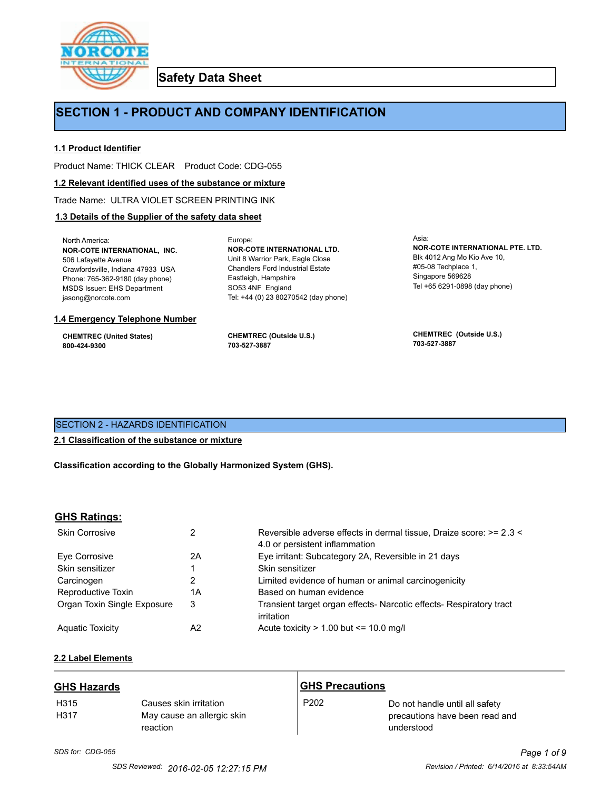

**Safety Data Sheet**

# **SECTION 1 - PRODUCT AND COMPANY IDENTIFICATION**

Europe:

# **1.1 Product Identifier**

Product Name: THICK CLEAR Product Code: CDG-055

#### **1.2 Relevant identified uses of the substance or mixture**

Trade Name: ULTRA VIOLET SCREEN PRINTING INK

# **1.3 Details of the Supplier of the safety data sheet**

North America: **NOR-COTE INTERNATIONAL, INC.** 506 Lafayette Avenue Crawfordsville, Indiana 47933 USA Phone: 765-362-9180 (day phone) MSDS Issuer: EHS Department jasong@norcote.com

#### **1.4 Emergency Telephone Number**

**CHEMTREC (United States) 800-424-9300**

**CHEMTREC (Outside U.S.) 703-527-3887**

Eastleigh, Hampshire SO53 4NF England

**NOR-COTE INTERNATIONAL LTD.** Unit 8 Warrior Park, Eagle Close Chandlers Ford Industrial Estate

Tel: +44 (0) 23 80270542 (day phone)

Asia: **NOR-COTE INTERNATIONAL PTE. LTD.** Blk 4012 Ang Mo Kio Ave 10, #05-08 Techplace 1, Singapore 569628 Tel +65 6291-0898 (day phone)

**CHEMTREC (Outside U.S.) 703-527-3887**

# SECTION 2 - HAZARDS IDENTIFICATION

#### **2.1 Classification of the substance or mixture**

**Classification according to the Globally Harmonized System (GHS).**

#### **GHS Ratings:**

| <b>Skin Corrosive</b>       | 2  | Reversible adverse effects in dermal tissue, Draize score: >= 2.3 <<br>4.0 or persistent inflammation |
|-----------------------------|----|-------------------------------------------------------------------------------------------------------|
| Eve Corrosive               | 2A | Eye irritant: Subcategory 2A, Reversible in 21 days                                                   |
| Skin sensitizer             |    | Skin sensitizer                                                                                       |
| Carcinogen                  |    | Limited evidence of human or animal carcinogenicity                                                   |
| Reproductive Toxin          | 1A | Based on human evidence                                                                               |
| Organ Toxin Single Exposure | 3  | Transient target organ effects- Narcotic effects- Respiratory tract<br>irritation                     |
| <b>Aguatic Toxicity</b>     | A2 | Acute toxicity $> 1.00$ but $\leq 10.0$ mg/l                                                          |

# **2.2 Label Elements**

| <b>GHS Hazards</b>       |                                                                  | <b>GHS Precautions</b> |                                                                                |
|--------------------------|------------------------------------------------------------------|------------------------|--------------------------------------------------------------------------------|
| H <sub>315</sub><br>H317 | Causes skin irritation<br>May cause an allergic skin<br>reaction | P <sub>202</sub>       | Do not handle until all safety<br>precautions have been read and<br>understood |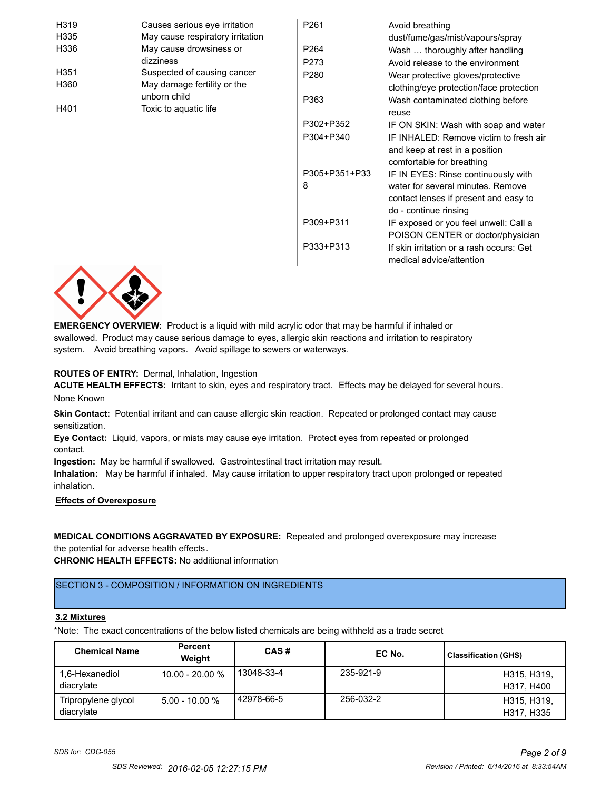| H319             | Causes serious eye irritation    | P261             | Avoid breathing                          |
|------------------|----------------------------------|------------------|------------------------------------------|
| H335             | May cause respiratory irritation |                  | dust/fume/gas/mist/vapours/spray         |
| H336             | May cause drowsiness or          | P <sub>264</sub> | Wash  thoroughly after handling          |
|                  | dizziness                        | P273             | Avoid release to the environment         |
| H <sub>351</sub> | Suspected of causing cancer      | P280             | Wear protective gloves/protective        |
| H360             | May damage fertility or the      |                  | clothing/eye protection/face protection  |
|                  | unborn child                     | P363             | Wash contaminated clothing before        |
| H401             | Toxic to aquatic life            |                  | reuse                                    |
|                  |                                  | P302+P352        | IF ON SKIN: Wash with soap and water     |
|                  |                                  | P304+P340        | IF INHALED: Remove victim to fresh air   |
|                  |                                  |                  | and keep at rest in a position           |
|                  |                                  |                  | comfortable for breathing                |
|                  |                                  | P305+P351+P33    | IF IN EYES: Rinse continuously with      |
|                  |                                  | 8                | water for several minutes. Remove        |
|                  |                                  |                  | contact lenses if present and easy to    |
|                  |                                  |                  | do - continue rinsing                    |
|                  |                                  | P309+P311        | IF exposed or you feel unwell: Call a    |
|                  |                                  |                  | POISON CENTER or doctor/physician        |
|                  |                                  | P333+P313        | If skin irritation or a rash occurs: Get |
|                  |                                  |                  | medical advice/attention                 |



**EMERGENCY OVERVIEW:** Product is a liquid with mild acrylic odor that may be harmful if inhaled or swallowed. Product may cause serious damage to eyes, allergic skin reactions and irritation to respiratory system. Avoid breathing vapors. Avoid spillage to sewers or waterways.

#### **ROUTES OF ENTRY:** Dermal, Inhalation, Ingestion

**ACUTE HEALTH EFFECTS:** Irritant to skin, eyes and respiratory tract. Effects may be delayed for several hours. None Known

**Skin Contact:** Potential irritant and can cause allergic skin reaction. Repeated or prolonged contact may cause sensitization.

**Eye Contact:** Liquid, vapors, or mists may cause eye irritation. Protect eyes from repeated or prolonged contact.

**Ingestion:** May be harmful if swallowed. Gastrointestinal tract irritation may result.

**Inhalation:** May be harmful if inhaled. May cause irritation to upper respiratory tract upon prolonged or repeated inhalation.

#### **Effects of Overexposure**

# **MEDICAL CONDITIONS AGGRAVATED BY EXPOSURE:** Repeated and prolonged overexposure may increase

the potential for adverse health effects.

**CHRONIC HEALTH EFFECTS:** No additional information

# SECTION 3 - COMPOSITION / INFORMATION ON INGREDIENTS

# **3.2 Mixtures**

\*Note: The exact concentrations of the below listed chemicals are being withheld as a trade secret

| <b>Chemical Name</b>              | Percent<br>Weight | CAS#       | EC No.    | <b>Classification (GHS)</b> |
|-----------------------------------|-------------------|------------|-----------|-----------------------------|
| 1,6-Hexanediol<br>diacrylate      | 10.00 - 20.00 %   | 13048-33-4 | 235-921-9 | H315, H319,<br>H317, H400   |
| Tripropylene glycol<br>diacrylate | $15.00 - 10.00 %$ | 42978-66-5 | 256-032-2 | H315, H319,<br>H317, H335   |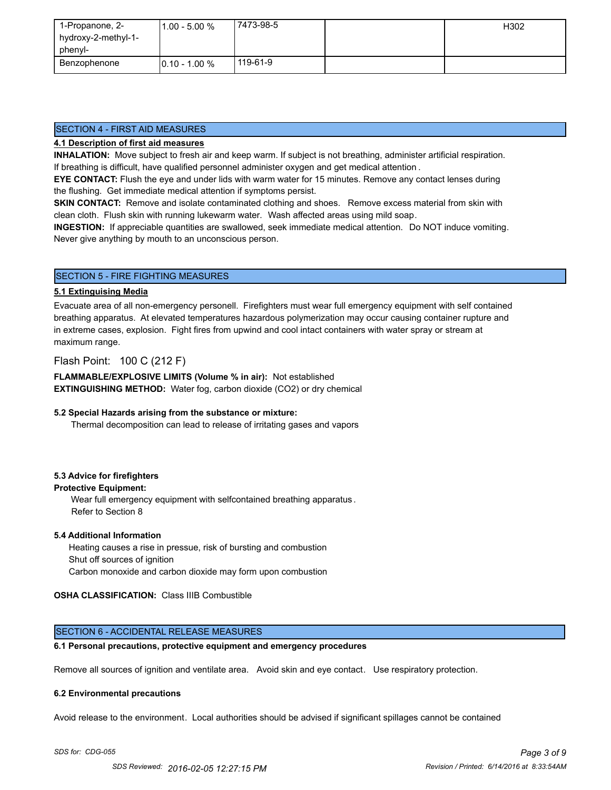| 1-Propanone, 2-     | $1.00 - 5.00 %$  | 17473-98-5 | H302 |
|---------------------|------------------|------------|------|
| hydroxy-2-methyl-1- |                  |            |      |
| phenyl-             |                  |            |      |
| Benzophenone        | $10.10 - 1.00 %$ | 119-61-9   |      |

### SECTION 4 - FIRST AID MEASURES

# **4.1 Description of first aid measures**

**INHALATION:** Move subject to fresh air and keep warm. If subject is not breathing, administer artificial respiration. If breathing is difficult, have qualified personnel administer oxygen and get medical attention .

**EYE CONTACT:** Flush the eye and under lids with warm water for 15 minutes. Remove any contact lenses during the flushing. Get immediate medical attention if symptoms persist.

**SKIN CONTACT:** Remove and isolate contaminated clothing and shoes. Remove excess material from skin with clean cloth. Flush skin with running lukewarm water. Wash affected areas using mild soap.

**INGESTION:** If appreciable quantities are swallowed, seek immediate medical attention. Do NOT induce vomiting. Never give anything by mouth to an unconscious person.

# SECTION 5 - FIRE FIGHTING MEASURES

### **5.1 Extinguising Media**

Evacuate area of all non-emergency personell. Firefighters must wear full emergency equipment with self contained breathing apparatus. At elevated temperatures hazardous polymerization may occur causing container rupture and in extreme cases, explosion. Fight fires from upwind and cool intact containers with water spray or stream at maximum range.

Flash Point: 100 C (212 F)

**FLAMMABLE/EXPLOSIVE LIMITS (Volume % in air):** Not established **EXTINGUISHING METHOD:** Water fog, carbon dioxide (CO2) or dry chemical

#### **5.2 Special Hazards arising from the substance or mixture:**

Thermal decomposition can lead to release of irritating gases and vapors

#### **5.3 Advice for firefighters**

**Protective Equipment:**

Wear full emergency equipment with selfcontained breathing apparatus . Refer to Section 8

#### **5.4 Additional Information**

 Heating causes a rise in pressue, risk of bursting and combustion Shut off sources of ignition Carbon monoxide and carbon dioxide may form upon combustion

**OSHA CLASSIFICATION:** Class IIIB Combustible

#### SECTION 6 - ACCIDENTAL RELEASE MEASURES

#### **6.1 Personal precautions, protective equipment and emergency procedures**

Remove all sources of ignition and ventilate area. Avoid skin and eye contact. Use respiratory protection.

#### **6.2 Environmental precautions**

Avoid release to the environment. Local authorities should be advised if significant spillages cannot be contained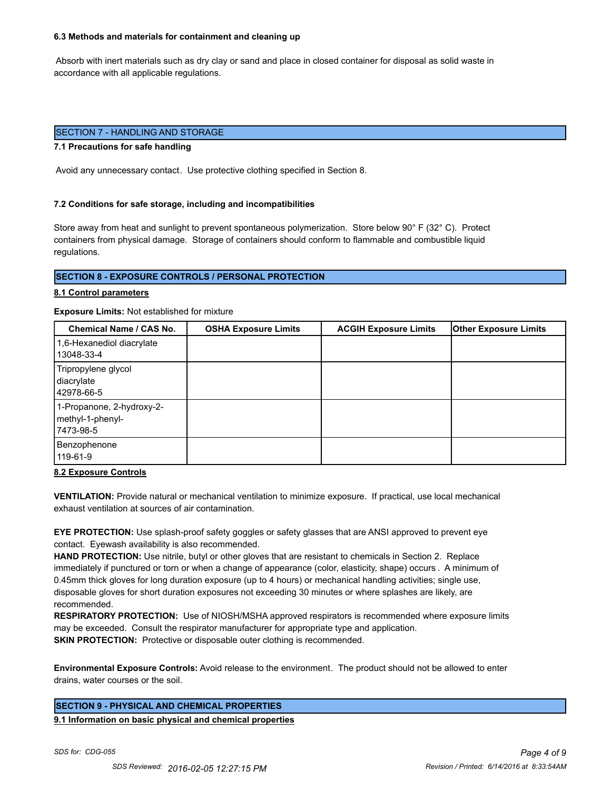#### **6.3 Methods and materials for containment and cleaning up**

 Absorb with inert materials such as dry clay or sand and place in closed container for disposal as solid waste in accordance with all applicable regulations.

# SECTION 7 - HANDLING AND STORAGE

#### **7.1 Precautions for safe handling**

Avoid any unnecessary contact. Use protective clothing specified in Section 8.

#### **7.2 Conditions for safe storage, including and incompatibilities**

Store away from heat and sunlight to prevent spontaneous polymerization. Store below 90° F (32° C). Protect containers from physical damage. Storage of containers should conform to flammable and combustible liquid regulations.

#### **SECTION 8 - EXPOSURE CONTROLS / PERSONAL PROTECTION**

#### **8.1 Control parameters**

#### **Exposure Limits:** Not established for mixture

| <b>Chemical Name / CAS No.</b>                              | <b>OSHA Exposure Limits</b> | <b>ACGIH Exposure Limits</b> | <b>Other Exposure Limits</b> |
|-------------------------------------------------------------|-----------------------------|------------------------------|------------------------------|
| 1,6-Hexanediol diacrylate<br>13048-33-4                     |                             |                              |                              |
| Tripropylene glycol<br>diacrylate<br>42978-66-5             |                             |                              |                              |
| 1-Propanone, 2-hydroxy-2-<br>methyl-1-phenyl-<br>17473-98-5 |                             |                              |                              |
| Benzophenone<br>119-61-9                                    |                             |                              |                              |

#### **8.2 Exposure Controls**

**VENTILATION:** Provide natural or mechanical ventilation to minimize exposure. If practical, use local mechanical exhaust ventilation at sources of air contamination.

**EYE PROTECTION:** Use splash-proof safety goggles or safety glasses that are ANSI approved to prevent eye contact. Eyewash availability is also recommended.

**HAND PROTECTION:** Use nitrile, butyl or other gloves that are resistant to chemicals in Section 2. Replace immediately if punctured or torn or when a change of appearance (color, elasticity, shape) occurs . A minimum of 0.45mm thick gloves for long duration exposure (up to 4 hours) or mechanical handling activities; single use, disposable gloves for short duration exposures not exceeding 30 minutes or where splashes are likely, are recommended.

**RESPIRATORY PROTECTION:** Use of NIOSH/MSHA approved respirators is recommended where exposure limits may be exceeded. Consult the respirator manufacturer for appropriate type and application. **SKIN PROTECTION:** Protective or disposable outer clothing is recommended.

**Environmental Exposure Controls:** Avoid release to the environment. The product should not be allowed to enter drains, water courses or the soil.

#### **SECTION 9 - PHYSICAL AND CHEMICAL PROPERTIES**

**9.1 Information on basic physical and chemical properties**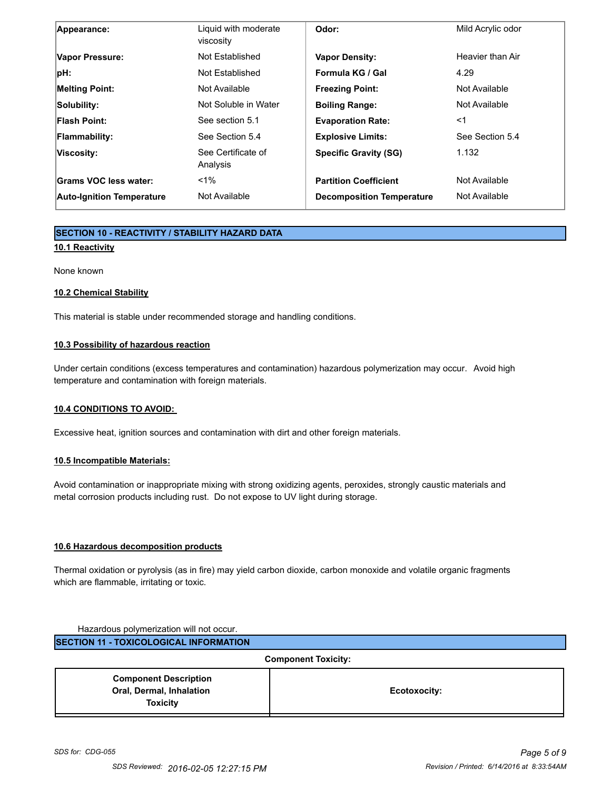| Appearance:                      | Liquid with moderate<br>viscosity | Odor:                            | Mild Acrylic odor |
|----------------------------------|-----------------------------------|----------------------------------|-------------------|
| Vapor Pressure:                  | Not Established                   | <b>Vapor Density:</b>            | Heavier than Air  |
| $ pH$ :                          | Not Established                   | Formula KG / Gal                 | 4.29              |
| <b>Melting Point:</b>            | Not Available                     | <b>Freezing Point:</b>           | Not Available     |
| Solubility:                      | Not Soluble in Water              | <b>Boiling Range:</b>            | Not Available     |
| <b>Flash Point:</b>              | See section 5.1                   | <b>Evaporation Rate:</b>         | <1                |
| Flammability:                    | See Section 5.4                   | <b>Explosive Limits:</b>         | See Section 5.4   |
| Viscosity:                       | See Certificate of<br>Analysis    | <b>Specific Gravity (SG)</b>     | 1.132             |
| Grams VOC less water:            | $< 1\%$                           | <b>Partition Coefficient</b>     | Not Available     |
| <b>Auto-Ignition Temperature</b> | Not Available                     | <b>Decomposition Temperature</b> | Not Available     |

# **SECTION 10 - REACTIVITY / STABILITY HAZARD DATA**

# **10.1 Reactivity**

None known

#### **10.2 Chemical Stability**

This material is stable under recommended storage and handling conditions.

# **10.3 Possibility of hazardous reaction**

Under certain conditions (excess temperatures and contamination) hazardous polymerization may occur. Avoid high temperature and contamination with foreign materials.

#### **10.4 CONDITIONS TO AVOID:**

Excessive heat, ignition sources and contamination with dirt and other foreign materials.

#### **10.5 Incompatible Materials:**

Avoid contamination or inappropriate mixing with strong oxidizing agents, peroxides, strongly caustic materials and metal corrosion products including rust. Do not expose to UV light during storage.

# **10.6 Hazardous decomposition products**

Thermal oxidation or pyrolysis (as in fire) may yield carbon dioxide, carbon monoxide and volatile organic fragments which are flammable, irritating or toxic.

| Hazardous polymerization will not occur.      |                            |
|-----------------------------------------------|----------------------------|
| <b>SECTION 11 - TOXICOLOGICAL INFORMATION</b> |                            |
|                                               | <b>Component Toxicity:</b> |
| <b>Component Description</b>                  |                            |
| Oral, Dermal, Inhalation                      | Ecotoxocity:               |
| <b>Toxicity</b>                               |                            |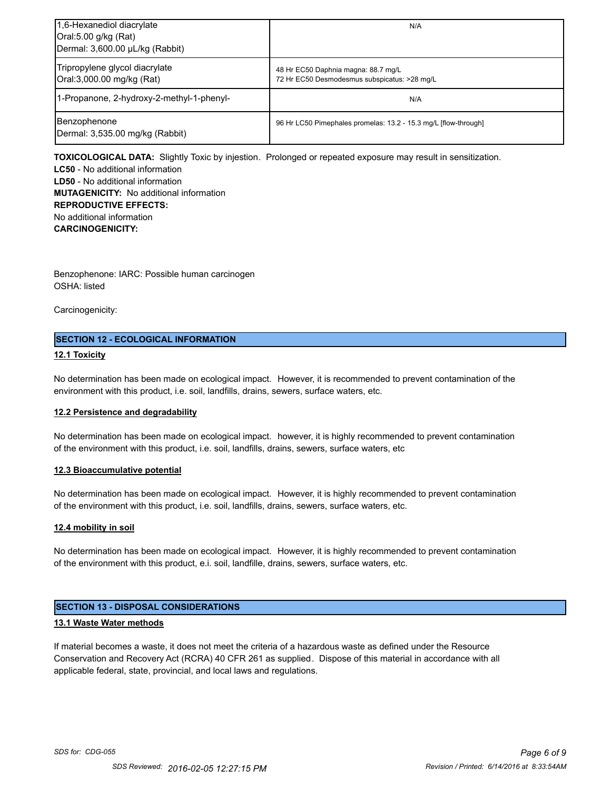| 1,6-Hexanediol diacrylate<br>Oral:5.00 g/kg (Rat)<br>Dermal: 3,600.00 µL/kg (Rabbit) | N/A                                                                                 |
|--------------------------------------------------------------------------------------|-------------------------------------------------------------------------------------|
| Tripropylene glycol diacrylate<br>Oral:3,000.00 mg/kg (Rat)                          | 48 Hr EC50 Daphnia magna: 88.7 mg/L<br>72 Hr EC50 Desmodesmus subspicatus: >28 mg/L |
| 1-Propanone, 2-hydroxy-2-methyl-1-phenyl-                                            | N/A                                                                                 |
| Benzophenone<br>Dermal: 3,535.00 mg/kg (Rabbit)                                      | 96 Hr LC50 Pimephales promelas: 13.2 - 15.3 mg/L [flow-through]                     |

**TOXICOLOGICAL DATA:** Slightly Toxic by injestion. Prolonged or repeated exposure may result in sensitization. **LC50** - No additional information

**LD50** - No additional information **MUTAGENICITY:** No additional information **REPRODUCTIVE EFFECTS:** No additional information **CARCINOGENICITY:**

Benzophenone: IARC: Possible human carcinogen OSHA: listed

Carcinogenicity:

# **SECTION 12 - ECOLOGICAL INFORMATION**

#### **12.1 Toxicity**

No determination has been made on ecological impact. However, it is recommended to prevent contamination of the environment with this product, i.e. soil, landfills, drains, sewers, surface waters, etc.

#### **12.2 Persistence and degradability**

No determination has been made on ecological impact. however, it is highly recommended to prevent contamination of the environment with this product, i.e. soil, landfills, drains, sewers, surface waters, etc

#### **12.3 Bioaccumulative potential**

No determination has been made on ecological impact. However, it is highly recommended to prevent contamination of the environment with this product, i.e. soil, landfills, drains, sewers, surface waters, etc.

#### **12.4 mobility in soil**

No determination has been made on ecological impact. However, it is highly recommended to prevent contamination of the environment with this product, e.i. soil, landfille, drains, sewers, surface waters, etc.

# **SECTION 13 - DISPOSAL CONSIDERATIONS**

#### **13.1 Waste Water methods**

If material becomes a waste, it does not meet the criteria of a hazardous waste as defined under the Resource Conservation and Recovery Act (RCRA) 40 CFR 261 as supplied. Dispose of this material in accordance with all applicable federal, state, provincial, and local laws and regulations.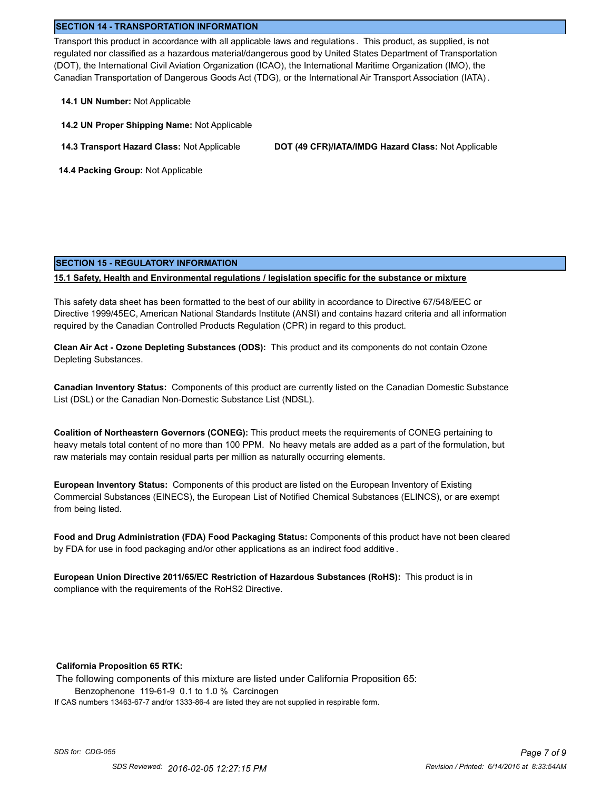#### **SECTION 14 - TRANSPORTATION INFORMATION**

Transport this product in accordance with all applicable laws and regulations . This product, as supplied, is not regulated nor classified as a hazardous material/dangerous good by United States Department of Transportation (DOT), the International Civil Aviation Organization (ICAO), the International Maritime Organization (IMO), the Canadian Transportation of Dangerous Goods Act (TDG), or the International Air Transport Association (IATA) .

- **14.1 UN Number:** Not Applicable
- **14.2 UN Proper Shipping Name:** Not Applicable
- 

**14.3 Transport Hazard Class:** Not Applicable **DOT (49 CFR)/IATA/IMDG Hazard Class:** Not Applicable

 **14.4 Packing Group:** Not Applicable

# **SECTION 15 - REGULATORY INFORMATION**

#### **15.1 Safety, Health and Environmental regulations / legislation specific for the substance or mixture**

This safety data sheet has been formatted to the best of our ability in accordance to Directive 67/548/EEC or Directive 1999/45EC, American National Standards Institute (ANSI) and contains hazard criteria and all information required by the Canadian Controlled Products Regulation (CPR) in regard to this product.

**Clean Air Act - Ozone Depleting Substances (ODS):** This product and its components do not contain Ozone Depleting Substances.

**Canadian Inventory Status:** Components of this product are currently listed on the Canadian Domestic Substance List (DSL) or the Canadian Non-Domestic Substance List (NDSL).

**Coalition of Northeastern Governors (CONEG):** This product meets the requirements of CONEG pertaining to heavy metals total content of no more than 100 PPM. No heavy metals are added as a part of the formulation, but raw materials may contain residual parts per million as naturally occurring elements.

**European Inventory Status:** Components of this product are listed on the European Inventory of Existing Commercial Substances (EINECS), the European List of Notified Chemical Substances (ELINCS), or are exempt from being listed.

**Food and Drug Administration (FDA) Food Packaging Status:** Components of this product have not been cleared by FDA for use in food packaging and/or other applications as an indirect food additive .

**European Union Directive 2011/65/EC Restriction of Hazardous Substances (RoHS):** This product is in compliance with the requirements of the RoHS2 Directive.

#### **California Proposition 65 RTK:**

The following components of this mixture are listed under California Proposition 65:

Benzophenone 119-61-9 0.1 to 1.0 % Carcinogen

If CAS numbers 13463-67-7 and/or 1333-86-4 are listed they are not supplied in respirable form.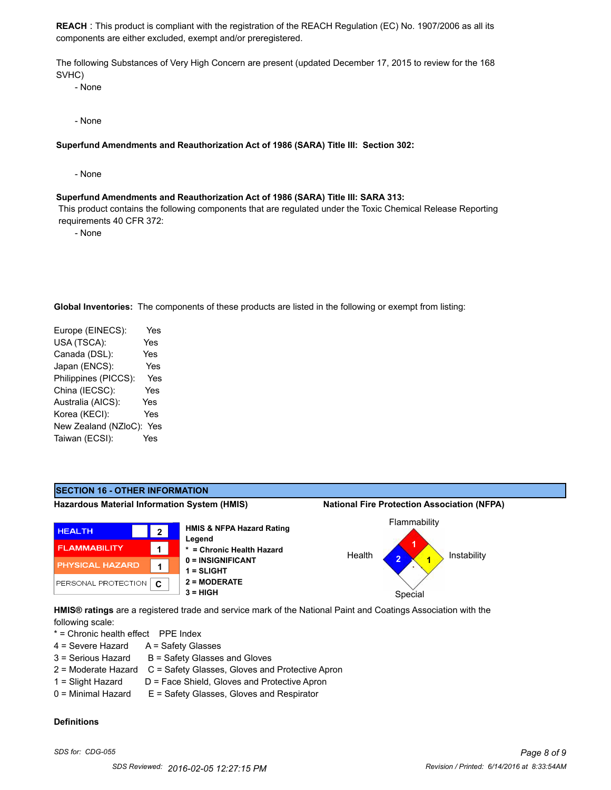**REACH** : This product is compliant with the registration of the REACH Regulation (EC) No. 1907/2006 as all its components are either excluded, exempt and/or preregistered.

The following Substances of Very High Concern are present (updated December 17, 2015 to review for the 168 SVHC)

- None

- None

#### **Superfund Amendments and Reauthorization Act of 1986 (SARA) Title III: Section 302:**

- None

#### **Superfund Amendments and Reauthorization Act of 1986 (SARA) Title III: SARA 313:**

 This product contains the following components that are regulated under the Toxic Chemical Release Reporting requirements 40 CFR 372:

- None

**Global Inventories:** The components of these products are listed in the following or exempt from listing:

| Europe (EINECS):     | Yes |
|----------------------|-----|
| USA (TSCA):          | Yes |
| Canada (DSL):        | Yes |
| Japan (ENCS):        | Yes |
| Philippines (PICCS): | Yes |
| China (IECSC):       | Yes |
| Australia (AICS):    | Yes |
| Korea (KECI):        | Yes |
| New Zealand (NZloC): | Yes |
| Taiwan (ECSI):       | Yes |
|                      |     |

#### **SECTION 16 - OTHER INFORMATION Hazardous Material Information System (HMIS) National Fire Protection Association (NFPA)** Flammability **HMIS & NFPA Hazard Rating HEALTH 2 Legend 1 FLAMMABILITY 1 \* = Chronic Health Hazard** Health Instability **2 0 = INSIGNIFICANT 1** PHYSICAL HAZARD **1 1 = SLIGHT** PERSONAL PROTECTION **2 = MODERATE C 3 = HIGH** Special **HMIS® ratings** are a registered trade and service mark of the National Paint and Coatings Association with the

following scale:

\* = Chronic health effect PPE Index

- 4 = Severe Hazard A = Safety Glasses
- $3 =$  Serious Hazard  $B =$  Safety Glasses and Gloves
- 2 = Moderate Hazard C = Safety Glasses, Gloves and Protective Apron
- 1 = Slight Hazard D = Face Shield, Gloves and Protective Apron
- 0 = Minimal Hazard E = Safety Glasses, Gloves and Respirator

#### **Definitions**